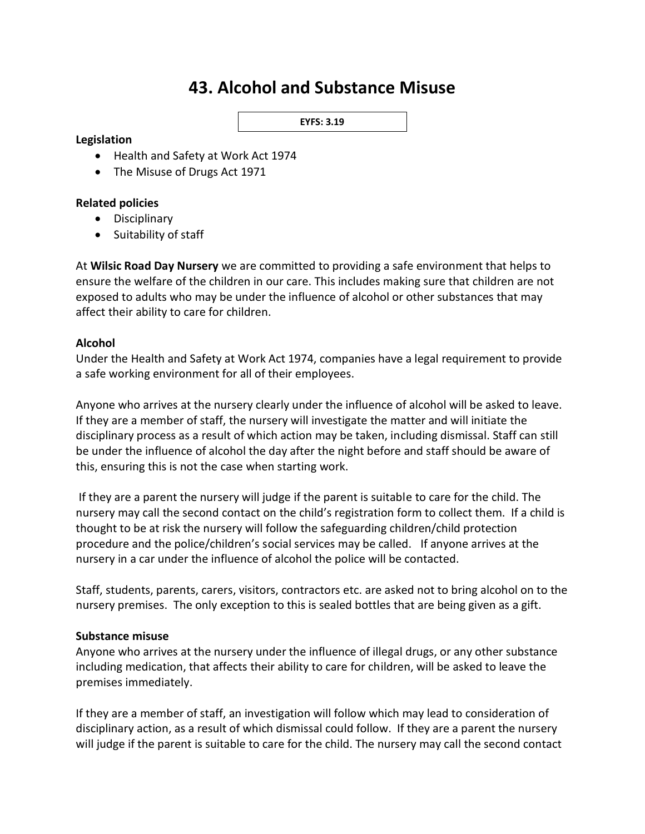# **43. Alcohol and Substance Misuse**

#### **EYFS: 3.19**

#### **Legislation**

- Health and Safety at Work Act 1974
- The Misuse of Drugs Act 1971

### **Related policies**

- Disciplinary
- Suitability of staff

At **Wilsic Road Day Nursery** we are committed to providing a safe environment that helps to ensure the welfare of the children in our care. This includes making sure that children are not exposed to adults who may be under the influence of alcohol or other substances that may affect their ability to care for children.

### **Alcohol**

Under the Health and Safety at Work Act 1974, companies have a legal requirement to provide a safe working environment for all of their employees.

Anyone who arrives at the nursery clearly under the influence of alcohol will be asked to leave. If they are a member of staff, the nursery will investigate the matter and will initiate the disciplinary process as a result of which action may be taken, including dismissal. Staff can still be under the influence of alcohol the day after the night before and staff should be aware of this, ensuring this is not the case when starting work.

If they are a parent the nursery will judge if the parent is suitable to care for the child. The nursery may call the second contact on the child's registration form to collect them. If a child is thought to be at risk the nursery will follow the safeguarding children/child protection procedure and the police/children's social services may be called. If anyone arrives at the nursery in a car under the influence of alcohol the police will be contacted.

Staff, students, parents, carers, visitors, contractors etc. are asked not to bring alcohol on to the nursery premises. The only exception to this is sealed bottles that are being given as a gift.

#### **Substance misuse**

Anyone who arrives at the nursery under the influence of illegal drugs, or any other substance including medication, that affects their ability to care for children, will be asked to leave the premises immediately.

If they are a member of staff, an investigation will follow which may lead to consideration of disciplinary action, as a result of which dismissal could follow. If they are a parent the nursery will judge if the parent is suitable to care for the child. The nursery may call the second contact